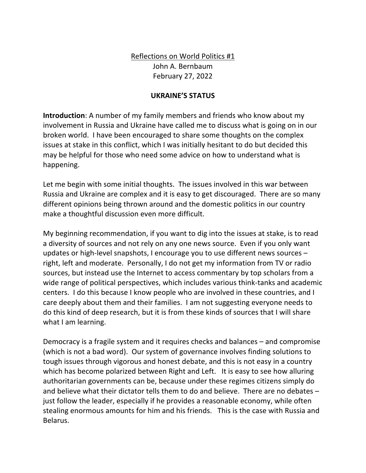Reflections on World Politics #1 John A. Bernbaum February 27, 2022

## **UKRAINE'S STATUS**

**Introduction**: A number of my family members and friends who know about my involvement in Russia and Ukraine have called me to discuss what is going on in our broken world. I have been encouraged to share some thoughts on the complex issues at stake in this conflict, which I was initially hesitant to do but decided this may be helpful for those who need some advice on how to understand what is happening.

Let me begin with some initial thoughts. The issues involved in this war between Russia and Ukraine are complex and it is easy to get discouraged. There are so many different opinions being thrown around and the domestic politics in our country make a thoughtful discussion even more difficult.

My beginning recommendation, if you want to dig into the issues at stake, is to read a diversity of sources and not rely on any one news source. Even if you only want updates or high-level snapshots, I encourage you to use different news sources – right, left and moderate. Personally, I do not get my information from TV or radio sources, but instead use the Internet to access commentary by top scholars from a wide range of political perspectives, which includes various think-tanks and academic centers. I do this because I know people who are involved in these countries, and I care deeply about them and their families. I am not suggesting everyone needs to do this kind of deep research, but it is from these kinds of sources that I will share what I am learning.

Democracy is a fragile system and it requires checks and balances – and compromise (which is not a bad word). Our system of governance involves finding solutions to tough issues through vigorous and honest debate, and this is not easy in a country which has become polarized between Right and Left. It is easy to see how alluring authoritarian governments can be, because under these regimes citizens simply do and believe what their dictator tells them to do and believe. There are no debates – just follow the leader, especially if he provides a reasonable economy, while often stealing enormous amounts for him and his friends. This is the case with Russia and Belarus.